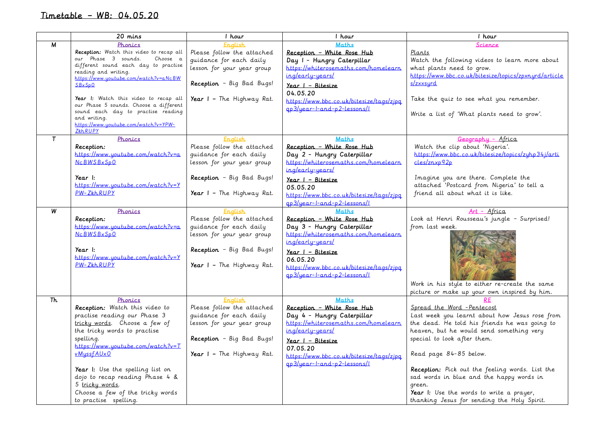## Timetable – WB: 04.05.20

|           | 20 mins                                                                      | 1 hour                     | hour                                     | hour                                                  |
|-----------|------------------------------------------------------------------------------|----------------------------|------------------------------------------|-------------------------------------------------------|
| М         | Phonics                                                                      | <u>Enalish</u>             | <b>Maths</b>                             | Science                                               |
|           | Reception: Watch this video to recap all                                     | Please follow the attached | Reception - White Rose Hub               | Plants                                                |
|           | our Phase 3 sounds.<br>Choose a                                              | guidance for each daily    | Day I - Hungry Caterpillar               | Watch the following videos to learn more about        |
|           | different sound each day to practise<br>reading and writing.                 | lesson for your year group | https://whiterosemaths.com/homelearn     | what plants need to grow.                             |
|           | https://www.youtube.com/watch?v=aNcBW                                        |                            | ing/early-years/                         | https://www.bbc.co.uk/bitesize/topics/zpxnurd/article |
|           | SBxSp0                                                                       | Reception - Big Bad Bugs!  | Year I - Bitesize                        | s/zxxsurd                                             |
|           |                                                                              |                            | 04.05.20                                 |                                                       |
|           | Year I: Watch this video to recap all                                        | Year I - The Highway Rat.  | https://www.bbc.co.uk/bitesize/tags/zipa | Take the quiz to see what you remember.               |
|           | our Phase 5 sounds. Choose a different<br>sound each day to practise reading |                            | ap3/year-l-and-p2-lessons/l              |                                                       |
|           | and writing.                                                                 |                            |                                          | Write a list of 'What plants need to grow'.           |
|           | https://www.youtube.com/watch?v=YPW-                                         |                            |                                          |                                                       |
|           | ZkhRUPY                                                                      |                            |                                          |                                                       |
| $\tau$    | Phonics                                                                      | <u>Enalish</u>             | <b>Maths</b>                             | Geography - Africa                                    |
|           | Reception:                                                                   | Please follow the attached | Reception - White Rose Hub               | Watch the clip about 'Nigeria'.                       |
|           | https://www.youtube.com/watch?v=a                                            | quidance for each daily    | Day 2 - Hungry Caterpillar               | https://www.bbc.co.uk/bitesize/topics/zuhp34j/arti    |
|           | <b>NcBWSBxSpO</b>                                                            | lesson for your year group | https://whiterosemaths.com/homelearn     | cles/znxp92p                                          |
|           |                                                                              |                            | ing/early-years/                         |                                                       |
|           | Year I:                                                                      | Reception - Big Bad Bugs!  | $Year$   - Bitesize                      | Imagine you are there. Complete the                   |
|           | $https://www.uoutube.com/watch?v=Y$                                          |                            | 05.05.20                                 | attached 'Postcard from Nigeria' to tell a            |
|           | $PW-ZkhRUPY$                                                                 | Year I - The Highway Rat.  | https://www.bbc.co.uk/bitesize/tags/zipg | friend all about what it is like.                     |
|           |                                                                              |                            | $qp3/year-1-and-p2-lessons/1$            |                                                       |
| W         | Phonics                                                                      | English                    | Maths                                    | $Art - Africa$                                        |
|           | Reception:                                                                   | Please follow the attached | Reception - White Rose Hub               | Look at Henri Rousseau's jungle - Surprised!          |
|           | https://www.youtube.com/watch?v=a                                            | guidance for each daily    | Day 3 - Hungry Caterpillar               | from last week.                                       |
|           | <b>NcBWSBxSpO</b>                                                            | lesson for your year group | https://whiterosemaths.com/homelearn     |                                                       |
|           |                                                                              |                            | ing/early-years/                         |                                                       |
|           | Year I:                                                                      | Reception - Big Bad Bugs!  | Year I - Bitesize                        |                                                       |
|           | https://www.youtube.com/watch?v=Y                                            |                            | 06.05.20                                 |                                                       |
|           | PW-ZkhRUPY                                                                   | Year I - The Highway Rat.  | https://www.bbc.co.uk/bitesize/tags/zjpg |                                                       |
|           |                                                                              |                            | <u>ap3/year-l-and-p2-lessons/l</u>       |                                                       |
|           |                                                                              |                            |                                          | Work in his style to either re-create the same        |
|           |                                                                              |                            |                                          | picture or make up your own inspired by him.          |
| <b>Th</b> | Phonics                                                                      | <b>English</b>             | <b>Maths</b>                             |                                                       |
|           | Reception: Watch this video to                                               | Please follow the attached | Reception - White Rose Hub               | Spread the Word - Pentecost                           |
|           | practise reading our Phase 3                                                 | quidance for each daily    | Day 4 - Hungry Caterpillar               | Last week you learnt about how Jesus rose from        |
|           | tricky words. Choose a few of                                                | lesson for your year group | https://whiterosemaths.com/homelearn     | the dead. He told his friends he was going to         |
|           | the tricky words to practise                                                 |                            | ing/early-years/                         | heaven, but he would send something very              |
|           | spelling.                                                                    | Reception - Big Bad Bugs!  | $Year$   - Bitesize                      | special to look after them.                           |
|           | https://www.youtube.com/watch?v=T                                            |                            | 07.05.20                                 |                                                       |
|           | vMyssfAUx0                                                                   | Year I - The Highway Rat.  | https://www.bbc.co.uk/bitesize/tags/zjpg | Read page 84-85 below.                                |
|           |                                                                              |                            | gp3/year-l-and-p2-lessons/l              |                                                       |
|           | Year I: Use the spelling list on                                             |                            |                                          | Reception: Pick out the feeling words. List the       |
|           | dojo to recap reading Phase 4 &                                              |                            |                                          | sad words in blue and the happy words in              |
|           | 5 tricky words.                                                              |                            |                                          | green.                                                |
|           | Choose a few of the tricky words                                             |                            |                                          | Year I: Use the words to write a prayer,              |
|           | to practise spelling.                                                        |                            |                                          | thanking Jesus for sending the Holy Spirit.           |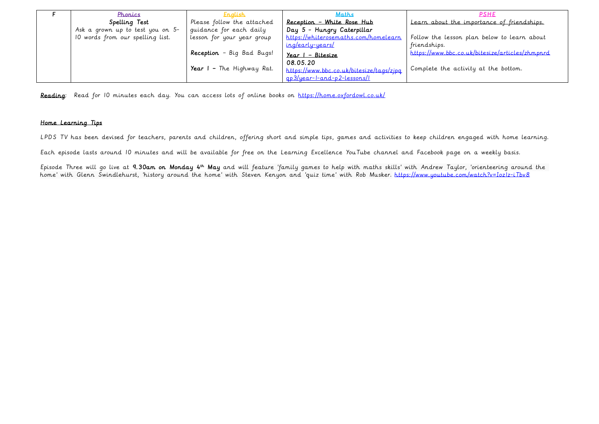| Phonics                          | <u>Enalish</u>             | Maths                                      | <b>PSHE</b>                                     |
|----------------------------------|----------------------------|--------------------------------------------|-------------------------------------------------|
| Spelling Test                    | Please follow the attached | Reception - White Rose Hub                 | Learn about the importance of friendships.      |
| Ask a grown up to test you on 5- | quidance for each daily    | Day 5 - Hungry Caterpillar                 |                                                 |
| 10 words from our spelling list. | lesson for your year group | https://whiterosemaths.com/homelearn       | Follow the lesson plan below to learn about     |
|                                  |                            | <u>ing/early-years/</u>                    | friendships.                                    |
|                                  | Reception - Big Bad Bugs!  | <u> Year I – Bitesize</u>                  | https://www.bbc.co.uk/bitesize/articles/zhmpnrd |
|                                  |                            | 08.05.20                                   |                                                 |
|                                  | Year I - The Highway Rat.  | I https://www.bbc.co.uk/bitesize/tags/zjpq | Complete the activity at the bottom.            |
|                                  |                            | <u>ap3/year-1-and-p2-lessons/l</u>         |                                                 |

Reading: Read for 10 minutes each day. You can access lots of online books on<https://home.oxfordowl.co.uk/>

## Home Learning Tips

LPDS TV has been devised for teachers, parents and children, offering short and simple tips, games and activities to keep children engaged with home learning.

Each episode lasts around 10 minutes and will be available for free on the Learning Excellence YouTube channel and Facebook page on a weekly basis.

Episode Three will go live at **9.30am on Monday 4<sup>th</sup> May** and will feature 'family games to help with maths skills' with Andrew Taylor, 'orienteering around the home' with Glenn Swindlehurst, 'history around the home' with Steven Kenyon and 'quiz time' with Rob Musker. https://www.youtube.com/watch?v=Iozlz-iTbv8